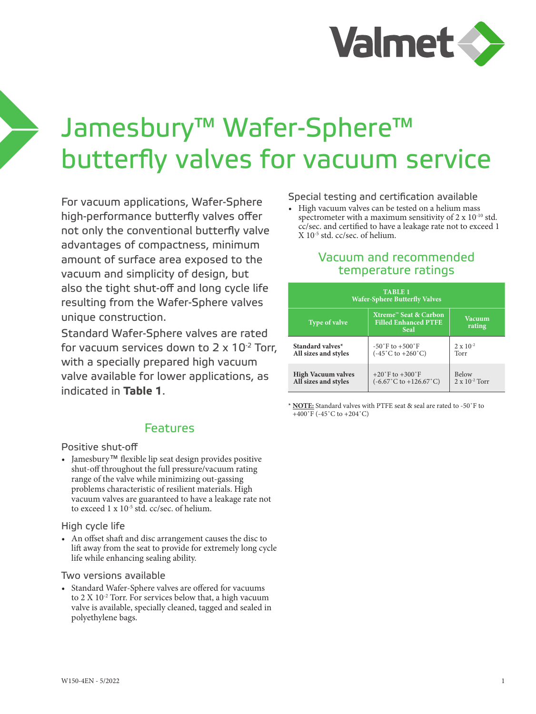

# Jamesbury™ Wafer-Sphere™ butterfly valves for vacuum service

For vacuum applications, Wafer-Sphere high-performance butterfly valves offer not only the conventional butterfly valve advantages of compactness, minimum amount of surface area exposed to the vacuum and simplicity of design, but also the tight shut-off and long cycle life resulting from the Wafer-Sphere valves unique construction.

Standard Wafer-Sphere valves are rated for vacuum services down to  $2 \times 10^{-2}$  Torr, with a specially prepared high vacuum valve available for lower applications, as indicated in **Table 1**.

## Features

### Positive shut-off

• Jamesbury™ flexible lip seat design provides positive shut-off throughout the full pressure/vacuum rating range of the valve while minimizing out-gassing problems characteristic of resilient materials. High vacuum valves are guaranteed to have a leakage rate not to exceed 1 x 10-5 std. cc/sec. of helium.

## High cycle life

• An offset shaft and disc arrangement causes the disc to lift away from the seat to provide for extremely long cycle life while enhancing sealing ability.

#### Two versions available

• Standard Wafer-Sphere valves are offered for vacuums to 2 X  $10^{-2}$  Torr. For services below that, a high vacuum valve is available, specially cleaned, tagged and sealed in polyethylene bags.

Special testing and certification available

• High vacuum valves can be tested on a helium mass spectrometer with a maximum sensitivity of 2 x 10-10 std. cc/sec. and certified to have a leakage rate not to exceed 1 X 10-5 std. cc/sec. of helium.

## Vacuum and recommended temperature ratings

| <b>TABLE 1</b><br><b>Wafer-Sphere Butterfly Valves</b> |                                                                     |                         |  |  |  |  |  |  |
|--------------------------------------------------------|---------------------------------------------------------------------|-------------------------|--|--|--|--|--|--|
| <b>Type of valve</b>                                   | Xtreme™ Seat & Carbon<br><b>Filled Enhanced PTFE</b><br><b>Seal</b> | <b>Vacuum</b><br>rating |  |  |  |  |  |  |
| Standard valves*                                       | $-50^{\circ}$ F to $+500^{\circ}$ F                                 | $2 \times 10^{-2}$      |  |  |  |  |  |  |
| All sizes and styles                                   | $(-45^{\circ} \text{C}$ to $+260^{\circ} \text{C})$                 | Torr                    |  |  |  |  |  |  |
| <b>High Vacuum valves</b>                              | $+20^{\circ}$ F to $+300^{\circ}$ F                                 | Below                   |  |  |  |  |  |  |
| All sizes and styles                                   | $(-6.67^{\circ} \text{C to } +126.67^{\circ} \text{C})$             | $2 \times 10^{-2}$ Torr |  |  |  |  |  |  |

\* **NOTE:** Standard valves with PTFE seat & seal are rated to -50˚F to +400˚F (-45˚C to +204˚C)